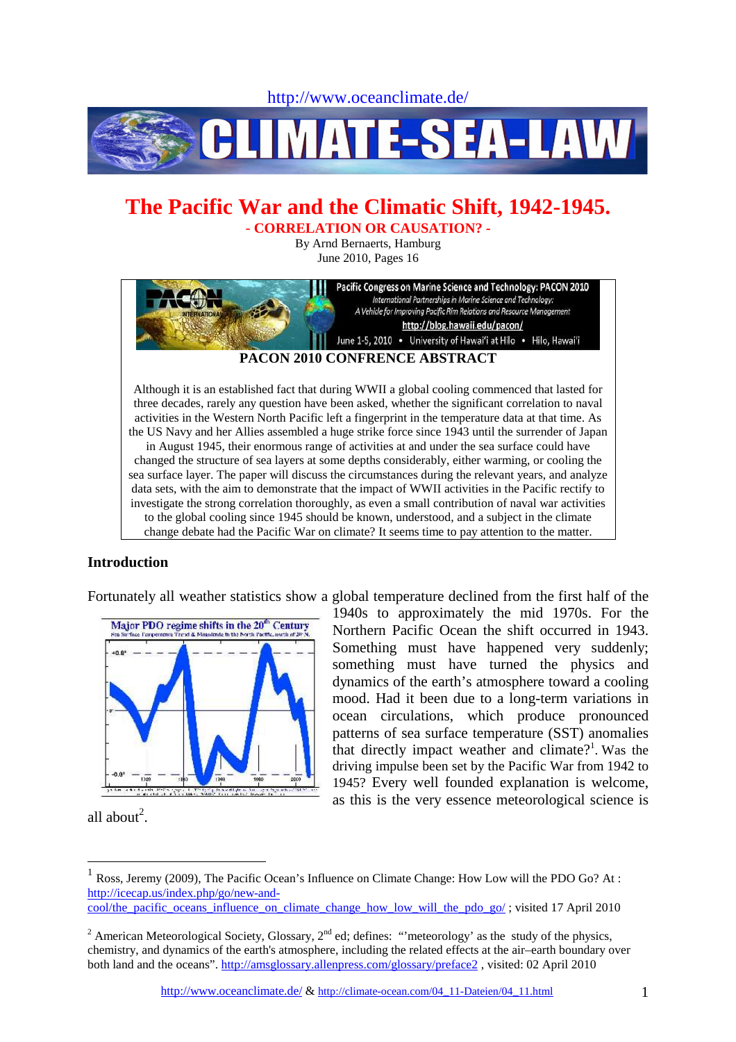http://www.oceanclimate.de/



# **The Pacific War and the Climatic Shift, 1942-1945.**  - **CORRELATION OR CAUSATION? -**

By Arnd Bernaerts, Hamburg June 2010, Pages 16



### **Introduction**

Fortunately all weather statistics show a global temperature declined from the first half of the



1940s to approximately the mid 1970s. For the Northern Pacific Ocean the shift occurred in 1943. Something must have happened very suddenly; something must have turned the physics and dynamics of the earth's atmosphere toward a cooling mood. Had it been due to a long-term variations in ocean circulations, which produce pronounced patterns of sea surface temperature (SST) anomalies that directly impact weather and climate?<sup>1</sup>. Was the driving impulse been set by the Pacific War from 1942 to 1945? Every well founded explanation is welcome, as this is the very essence meteorological science is

all about<sup>2</sup>.

<sup>1</sup> Ross, Jeremy (2009), The Pacific Ocean's Influence on Climate Change: How Low will the PDO Go? At : http://icecap.us/index.php/go/new-and-

cool/the\_pacific\_oceans\_influence\_on\_climate\_change\_how\_low\_will\_the\_pdo\_go/ ; visited 17 April 2010

<sup>&</sup>lt;sup>2</sup> American Meteorological Society, Glossary,  $2<sup>nd</sup>$  ed; defines: "meteorology' as the study of the physics, chemistry, and dynamics of the earth's atmosphere, including the related effects at the air–earth boundary over both land and the oceans". http://amsglossary.allenpress.com/glossary/preface2 , visited: 02 April 2010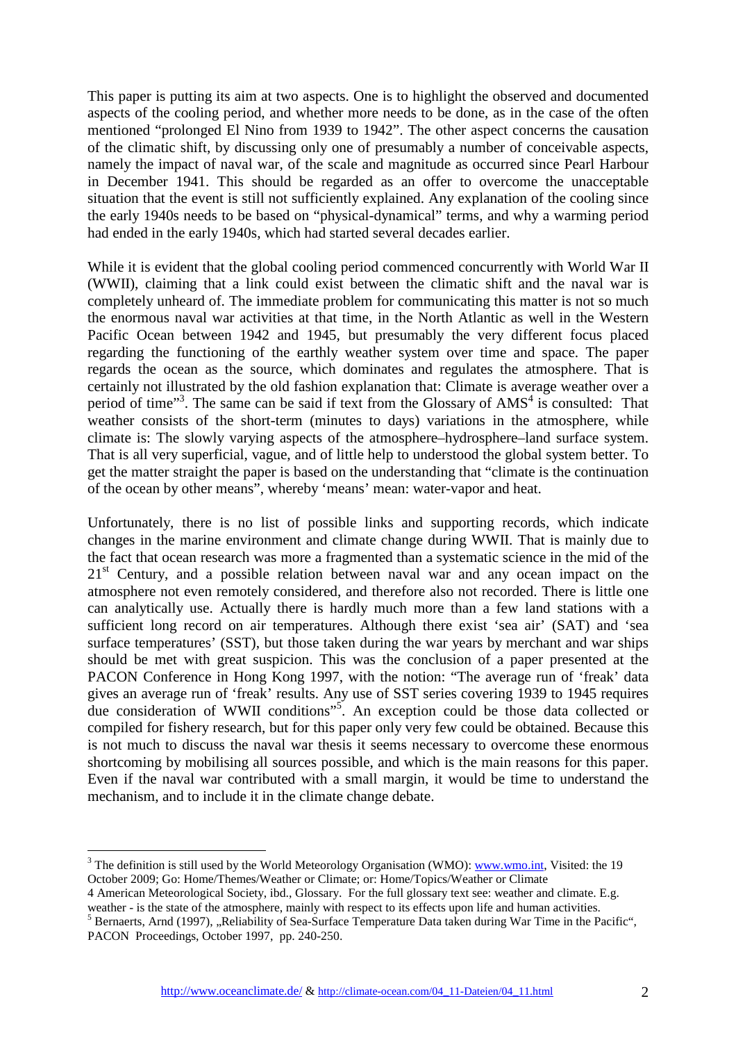This paper is putting its aim at two aspects. One is to highlight the observed and documented aspects of the cooling period, and whether more needs to be done, as in the case of the often mentioned "prolonged El Nino from 1939 to 1942". The other aspect concerns the causation of the climatic shift, by discussing only one of presumably a number of conceivable aspects, namely the impact of naval war, of the scale and magnitude as occurred since Pearl Harbour in December 1941. This should be regarded as an offer to overcome the unacceptable situation that the event is still not sufficiently explained. Any explanation of the cooling since the early 1940s needs to be based on "physical-dynamical" terms, and why a warming period had ended in the early 1940s, which had started several decades earlier.

While it is evident that the global cooling period commenced concurrently with World War II (WWII), claiming that a link could exist between the climatic shift and the naval war is completely unheard of. The immediate problem for communicating this matter is not so much the enormous naval war activities at that time, in the North Atlantic as well in the Western Pacific Ocean between 1942 and 1945, but presumably the very different focus placed regarding the functioning of the earthly weather system over time and space. The paper regards the ocean as the source, which dominates and regulates the atmosphere. That is certainly not illustrated by the old fashion explanation that: Climate is average weather over a period of time"<sup>3</sup>. The same can be said if text from the Glossary of AMS<sup>4</sup> is consulted: That weather consists of the short-term (minutes to days) variations in the atmosphere, while climate is: The slowly varying aspects of the atmosphere–hydrosphere–land surface system. That is all very superficial, vague, and of little help to understood the global system better. To get the matter straight the paper is based on the understanding that "climate is the continuation of the ocean by other means", whereby 'means' mean: water-vapor and heat.

Unfortunately, there is no list of possible links and supporting records, which indicate changes in the marine environment and climate change during WWII. That is mainly due to the fact that ocean research was more a fragmented than a systematic science in the mid of the  $21<sup>st</sup>$  Century, and a possible relation between naval war and any ocean impact on the atmosphere not even remotely considered, and therefore also not recorded. There is little one can analytically use. Actually there is hardly much more than a few land stations with a sufficient long record on air temperatures. Although there exist 'sea air' (SAT) and 'sea surface temperatures' (SST), but those taken during the war years by merchant and war ships should be met with great suspicion. This was the conclusion of a paper presented at the PACON Conference in Hong Kong 1997, with the notion: "The average run of 'freak' data gives an average run of 'freak' results. Any use of SST series covering 1939 to 1945 requires due consideration of WWII conditions"<sup>5</sup> . An exception could be those data collected or compiled for fishery research, but for this paper only very few could be obtained. Because this is not much to discuss the naval war thesis it seems necessary to overcome these enormous shortcoming by mobilising all sources possible, and which is the main reasons for this paper. Even if the naval war contributed with a small margin, it would be time to understand the mechanism, and to include it in the climate change debate.

<sup>&</sup>lt;sup>3</sup> The definition is still used by the World Meteorology Organisation (WMO): **www.wmo.int**, Visited: the 19 October 2009; Go: Home/Themes/Weather or Climate; or: Home/Topics/Weather or Climate

<sup>4</sup> American Meteorological Society, ibd., Glossary. For the full glossary text see: weather and climate. E.g. weather - is the state of the atmosphere, mainly with respect to its effects upon life and human activities.

 $<sup>5</sup>$  Bernaerts, Arnd (1997), "Reliability of Sea-Surface Temperature Data taken during War Time in the Pacific",</sup> PACON Proceedings, October 1997, pp. 240-250.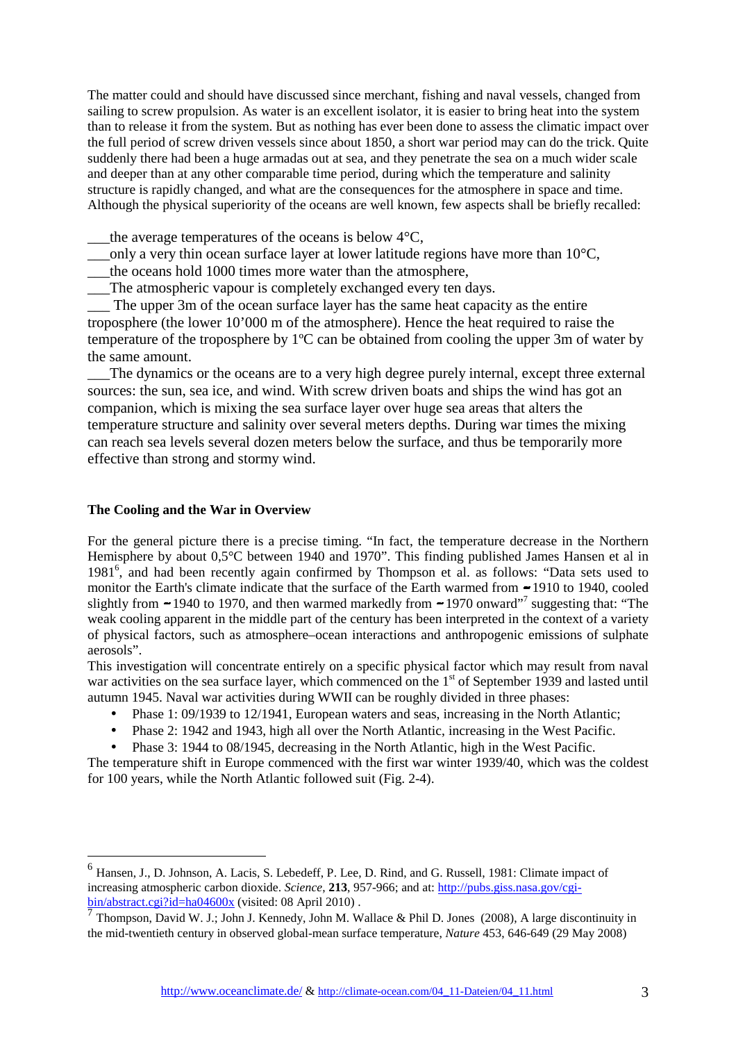The matter could and should have discussed since merchant, fishing and naval vessels, changed from sailing to screw propulsion. As water is an excellent isolator, it is easier to bring heat into the system than to release it from the system. But as nothing has ever been done to assess the climatic impact over the full period of screw driven vessels since about 1850, a short war period may can do the trick. Quite suddenly there had been a huge armadas out at sea, and they penetrate the sea on a much wider scale and deeper than at any other comparable time period, during which the temperature and salinity structure is rapidly changed, and what are the consequences for the atmosphere in space and time. Although the physical superiority of the oceans are well known, few aspects shall be briefly recalled:

the average temperatures of the oceans is below  $4^{\circ}C$ ,

only a very thin ocean surface layer at lower latitude regions have more than  $10^{\circ}$ C,

the oceans hold 1000 times more water than the atmosphere,

The atmospheric vapour is completely exchanged every ten days.

The upper 3m of the ocean surface layer has the same heat capacity as the entire troposphere (the lower 10'000 m of the atmosphere). Hence the heat required to raise the temperature of the troposphere by 1ºC can be obtained from cooling the upper 3m of water by the same amount.

The dynamics or the oceans are to a very high degree purely internal, except three external sources: the sun, sea ice, and wind. With screw driven boats and ships the wind has got an companion, which is mixing the sea surface layer over huge sea areas that alters the temperature structure and salinity over several meters depths. During war times the mixing can reach sea levels several dozen meters below the surface, and thus be temporarily more effective than strong and stormy wind.

#### **The Cooling and the War in Overview**

 $\overline{a}$ 

For the general picture there is a precise timing. "In fact, the temperature decrease in the Northern Hemisphere by about 0,5°C between 1940 and 1970". This finding published James Hansen et al in 1981<sup>6</sup>, and had been recently again confirmed by Thompson et al. as follows: "Data sets used to monitor the Earth's climate indicate that the surface of the Earth warmed from  $-1910$  to 1940, cooled slightly from  $-1940$  to 1970, and then warmed markedly from  $-1970$  onward"<sup>7</sup> suggesting that: "The weak cooling apparent in the middle part of the century has been interpreted in the context of a variety of physical factors, such as atmosphere–ocean interactions and anthropogenic emissions of sulphate aerosols".

This investigation will concentrate entirely on a specific physical factor which may result from naval war activities on the sea surface layer, which commenced on the 1<sup>st</sup> of September 1939 and lasted until autumn 1945. Naval war activities during WWII can be roughly divided in three phases:

- Phase 1: 09/1939 to 12/1941, European waters and seas, increasing in the North Atlantic;
- Phase 2: 1942 and 1943, high all over the North Atlantic, increasing in the West Pacific.
- Phase 3: 1944 to 08/1945, decreasing in the North Atlantic, high in the West Pacific.

The temperature shift in Europe commenced with the first war winter 1939/40, which was the coldest for 100 years, while the North Atlantic followed suit (Fig. 2-4).

<sup>&</sup>lt;sup>6</sup> Hansen, J., D. Johnson, A. Lacis, S. Lebedeff, P. Lee, D. Rind, and G. Russell, 1981: Climate impact of increasing atmospheric carbon dioxide. *Science*, **213**, 957-966; and at: http://pubs.giss.nasa.gov/cgibin/abstract.cgi?id=ha04600x (visited: 08 April 2010) .

<sup>7</sup> Thompson, David W. J.; John J. Kennedy, John M. Wallace & Phil D. Jones (2008), A large discontinuity in the mid-twentieth century in observed global-mean surface temperature, *Nature* 453, 646-649 (29 May 2008)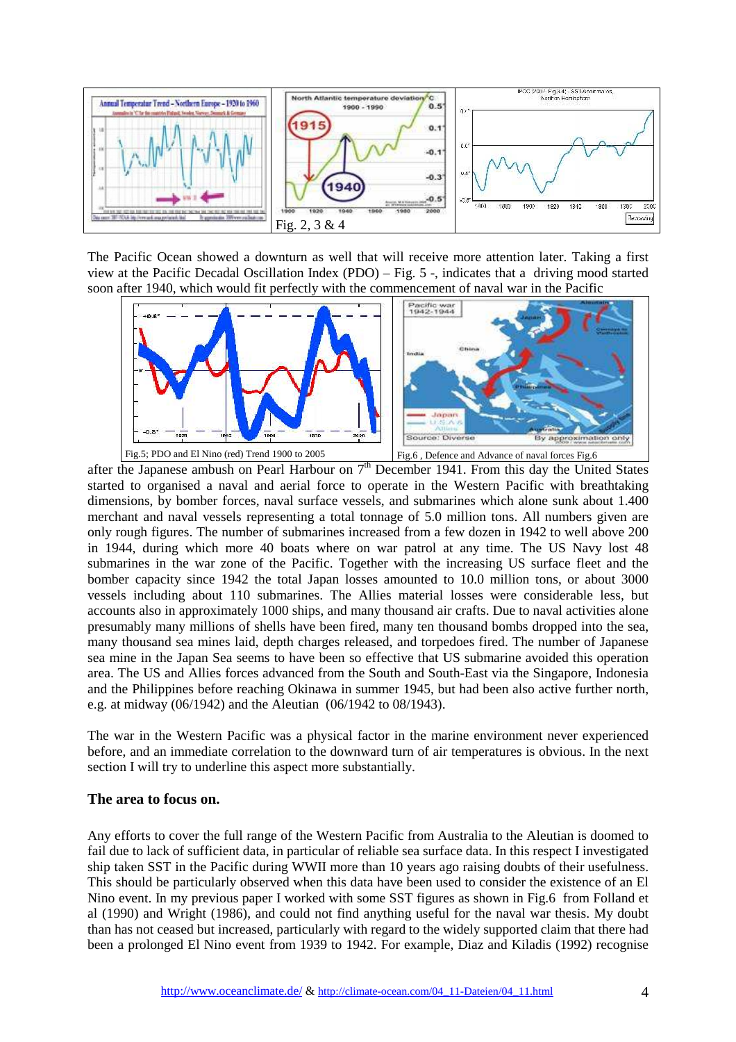

The Pacific Ocean showed a downturn as well that will receive more attention later. Taking a first view at the Pacific Decadal Oscillation Index (PDO) – Fig. 5 -, indicates that a driving mood started soon after 1940, which would fit perfectly with the commencement of naval war in the Pacific



after the Japanese ambush on Pearl Harbour on  $7<sup>th</sup>$  December 1941. From this day the United States started to organised a naval and aerial force to operate in the Western Pacific with breathtaking dimensions, by bomber forces, naval surface vessels, and submarines which alone sunk about 1.400 merchant and naval vessels representing a total tonnage of 5.0 million tons. All numbers given are only rough figures. The number of submarines increased from a few dozen in 1942 to well above 200 in 1944, during which more 40 boats where on war patrol at any time. The US Navy lost 48 submarines in the war zone of the Pacific. Together with the increasing US surface fleet and the bomber capacity since 1942 the total Japan losses amounted to 10.0 million tons, or about 3000 vessels including about 110 submarines. The Allies material losses were considerable less, but accounts also in approximately 1000 ships, and many thousand air crafts. Due to naval activities alone presumably many millions of shells have been fired, many ten thousand bombs dropped into the sea, many thousand sea mines laid, depth charges released, and torpedoes fired. The number of Japanese sea mine in the Japan Sea seems to have been so effective that US submarine avoided this operation area. The US and Allies forces advanced from the South and South-East via the Singapore, Indonesia and the Philippines before reaching Okinawa in summer 1945, but had been also active further north, e.g. at midway (06/1942) and the Aleutian (06/1942 to 08/1943).

The war in the Western Pacific was a physical factor in the marine environment never experienced before, and an immediate correlation to the downward turn of air temperatures is obvious. In the next section I will try to underline this aspect more substantially.

#### **The area to focus on.**

Any efforts to cover the full range of the Western Pacific from Australia to the Aleutian is doomed to fail due to lack of sufficient data, in particular of reliable sea surface data. In this respect I investigated ship taken SST in the Pacific during WWII more than 10 years ago raising doubts of their usefulness. This should be particularly observed when this data have been used to consider the existence of an El Nino event. In my previous paper I worked with some SST figures as shown in Fig.6 from Folland et al (1990) and Wright (1986), and could not find anything useful for the naval war thesis. My doubt than has not ceased but increased, particularly with regard to the widely supported claim that there had been a prolonged El Nino event from 1939 to 1942. For example, Diaz and Kiladis (1992) recognise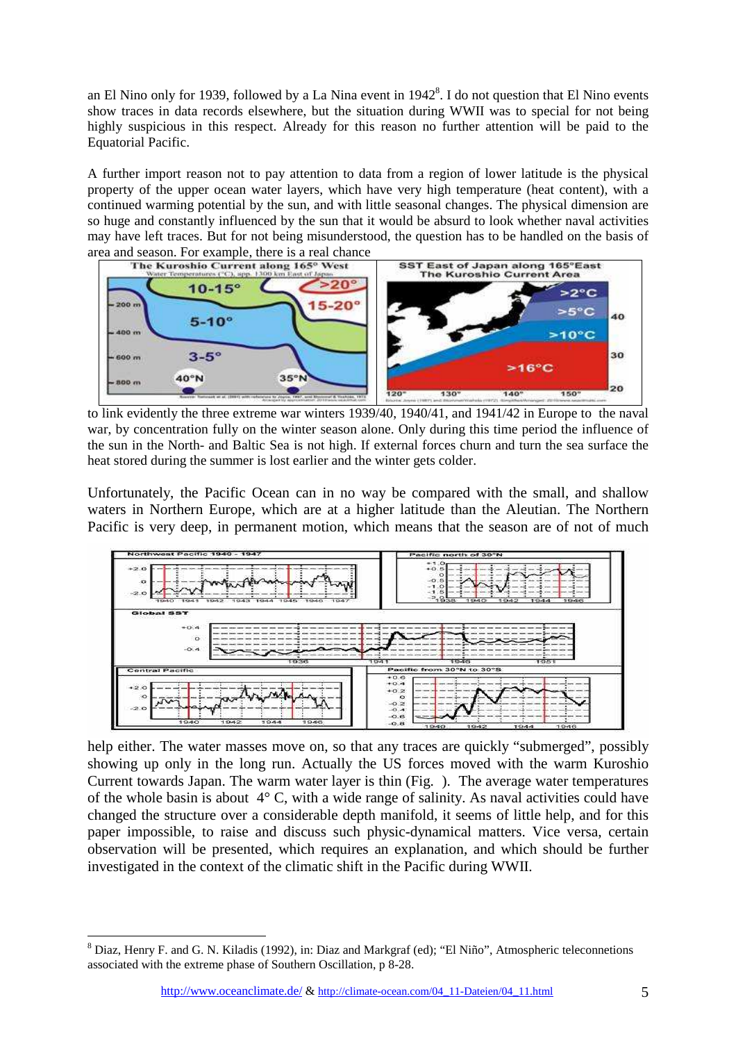an El Nino only for 1939, followed by a La Nina event in  $1942<sup>8</sup>$ . I do not question that El Nino events show traces in data records elsewhere, but the situation during WWII was to special for not being highly suspicious in this respect. Already for this reason no further attention will be paid to the Equatorial Pacific.

A further import reason not to pay attention to data from a region of lower latitude is the physical property of the upper ocean water layers, which have very high temperature (heat content), with a continued warming potential by the sun, and with little seasonal changes. The physical dimension are so huge and constantly influenced by the sun that it would be absurd to look whether naval activities may have left traces. But for not being misunderstood, the question has to be handled on the basis of



to link evidently the three extreme war winters 1939/40, 1940/41, and 1941/42 in Europe to the naval war, by concentration fully on the winter season alone. Only during this time period the influence of the sun in the North- and Baltic Sea is not high. If external forces churn and turn the sea surface the heat stored during the summer is lost earlier and the winter gets colder.

Unfortunately, the Pacific Ocean can in no way be compared with the small, and shallow waters in Northern Europe, which are at a higher latitude than the Aleutian. The Northern Pacific is very deep, in permanent motion, which means that the season are of not of much



help either. The water masses move on, so that any traces are quickly "submerged", possibly showing up only in the long run. Actually the US forces moved with the warm Kuroshio Current towards Japan. The warm water layer is thin (Fig. ). The average water temperatures of the whole basin is about 4° C, with a wide range of salinity. As naval activities could have changed the structure over a considerable depth manifold, it seems of little help, and for this paper impossible, to raise and discuss such physic-dynamical matters. Vice versa, certain observation will be presented, which requires an explanation, and which should be further investigated in the context of the climatic shift in the Pacific during WWII.

<sup>&</sup>lt;sup>8</sup> Diaz, Henry F. and G. N. Kiladis (1992), in: Diaz and Markgraf (ed); "El Niño", Atmospheric teleconnetions associated with the extreme phase of Southern Oscillation, p 8-28.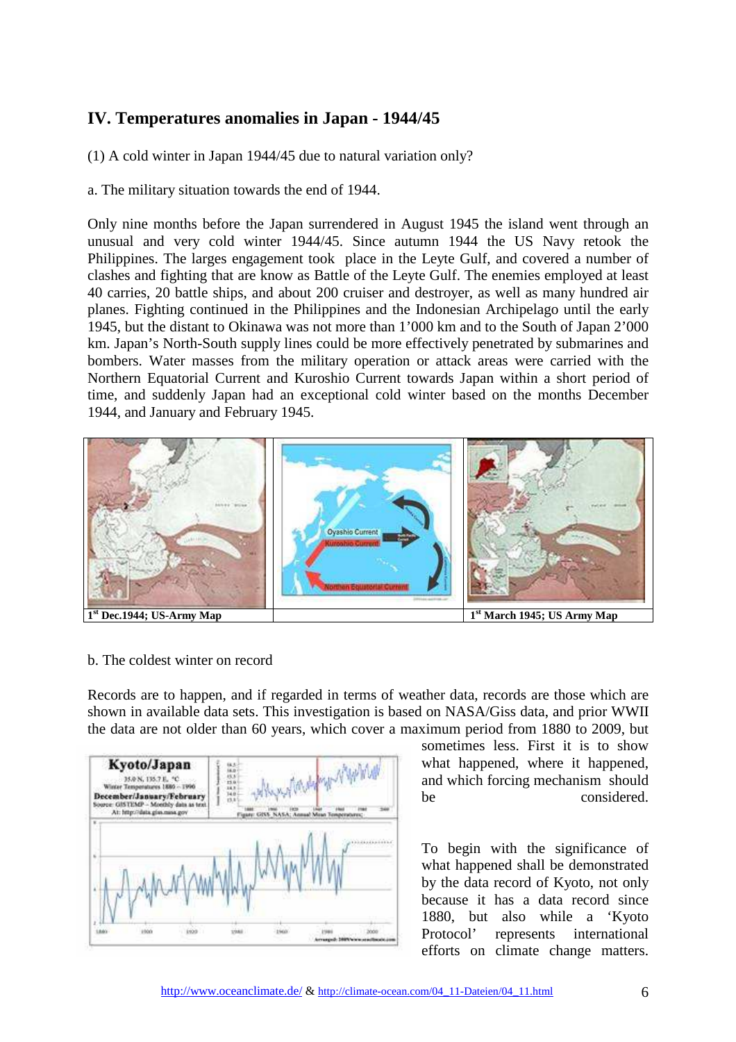## **IV. Temperatures anomalies in Japan - 1944/45**

(1) A cold winter in Japan 1944/45 due to natural variation only?

a. The military situation towards the end of 1944.

Only nine months before the Japan surrendered in August 1945 the island went through an unusual and very cold winter 1944/45. Since autumn 1944 the US Navy retook the Philippines. The larges engagement took place in the Leyte Gulf, and covered a number of clashes and fighting that are know as Battle of the Leyte Gulf. The enemies employed at least 40 carries, 20 battle ships, and about 200 cruiser and destroyer, as well as many hundred air planes. Fighting continued in the Philippines and the Indonesian Archipelago until the early 1945, but the distant to Okinawa was not more than 1'000 km and to the South of Japan 2'000 km. Japan's North-South supply lines could be more effectively penetrated by submarines and bombers. Water masses from the military operation or attack areas were carried with the Northern Equatorial Current and Kuroshio Current towards Japan within a short period of time, and suddenly Japan had an exceptional cold winter based on the months December 1944, and January and February 1945.



### b. The coldest winter on record

Records are to happen, and if regarded in terms of weather data, records are those which are shown in available data sets. This investigation is based on NASA/Giss data, and prior WWII the data are not older than 60 years, which cover a maximum period from 1880 to 2009, but



sometimes less. First it is to show what happened, where it happened, and which forcing mechanism should be considered.

To begin with the significance of what happened shall be demonstrated by the data record of Kyoto, not only because it has a data record since 1880, but also while a 'Kyoto Protocol' represents international efforts on climate change matters.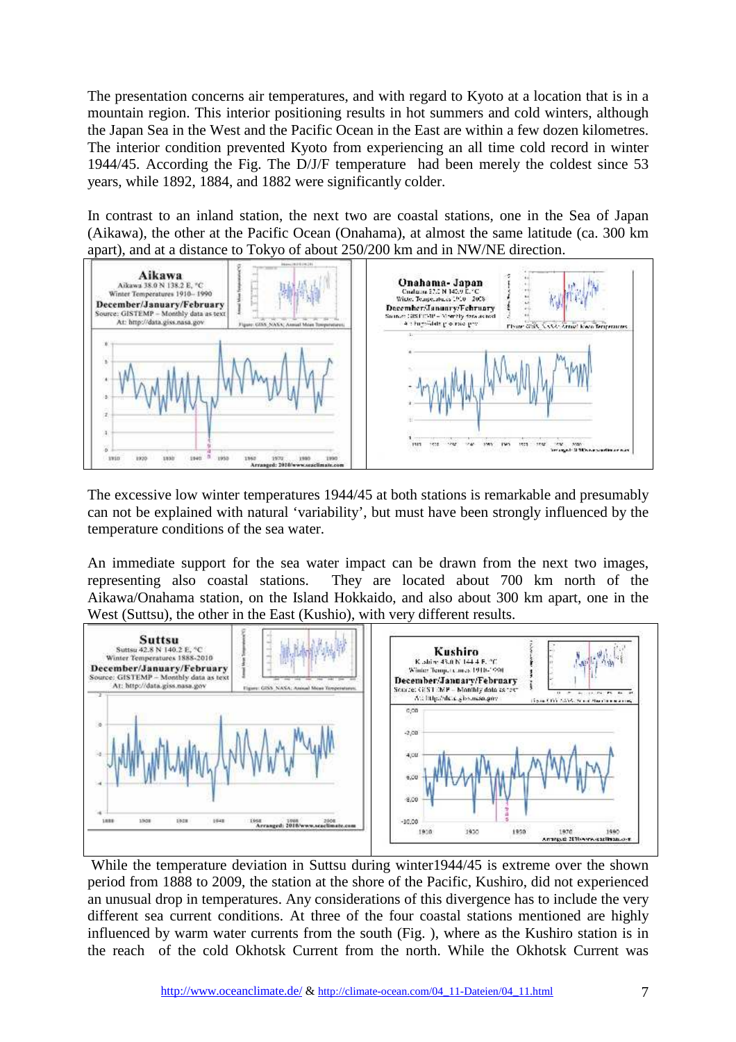The presentation concerns air temperatures, and with regard to Kyoto at a location that is in a mountain region. This interior positioning results in hot summers and cold winters, although the Japan Sea in the West and the Pacific Ocean in the East are within a few dozen kilometres. The interior condition prevented Kyoto from experiencing an all time cold record in winter 1944/45. According the Fig. The D/J/F temperature had been merely the coldest since 53 years, while 1892, 1884, and 1882 were significantly colder.

In contrast to an inland station, the next two are coastal stations, one in the Sea of Japan (Aikawa), the other at the Pacific Ocean (Onahama), at almost the same latitude (ca. 300 km apart), and at a distance to Tokyo of about 250/200 km and in NW/NE direction.



The excessive low winter temperatures 1944/45 at both stations is remarkable and presumably can not be explained with natural 'variability', but must have been strongly influenced by the temperature conditions of the sea water.

An immediate support for the sea water impact can be drawn from the next two images, representing also coastal stations. They are located about 700 km north of the Aikawa/Onahama station, on the Island Hokkaido, and also about 300 km apart, one in the West (Suttsu), the other in the East (Kushio), with very different results.



 While the temperature deviation in Suttsu during winter1944/45 is extreme over the shown period from 1888 to 2009, the station at the shore of the Pacific, Kushiro, did not experienced an unusual drop in temperatures. Any considerations of this divergence has to include the very different sea current conditions. At three of the four coastal stations mentioned are highly influenced by warm water currents from the south (Fig. ), where as the Kushiro station is in the reach of the cold Okhotsk Current from the north. While the Okhotsk Current was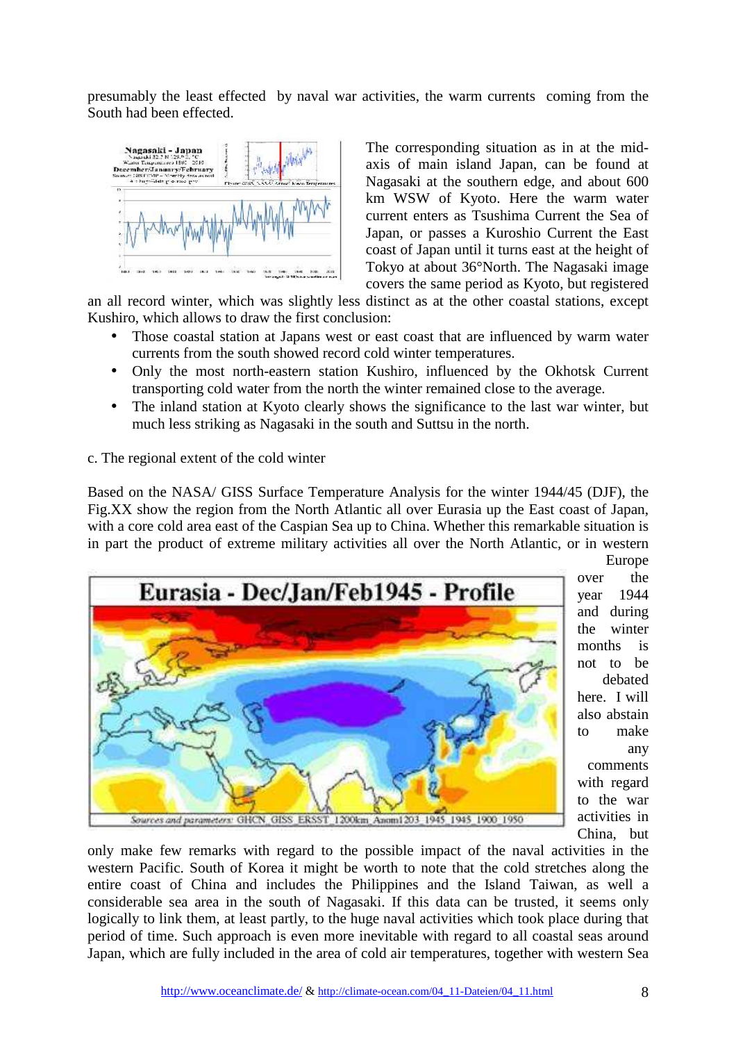presumably the least effected by naval war activities, the warm currents coming from the South had been effected.



The corresponding situation as in at the midaxis of main island Japan, can be found at Nagasaki at the southern edge, and about 600 km WSW of Kyoto. Here the warm water current enters as Tsushima Current the Sea of Japan, or passes a Kuroshio Current the East coast of Japan until it turns east at the height of Tokyo at about 36°North. The Nagasaki image covers the same period as Kyoto, but registered

an all record winter, which was slightly less distinct as at the other coastal stations, except Kushiro, which allows to draw the first conclusion:

- Those coastal station at Japans west or east coast that are influenced by warm water currents from the south showed record cold winter temperatures.
- Only the most north-eastern station Kushiro, influenced by the Okhotsk Current transporting cold water from the north the winter remained close to the average.
- The inland station at Kyoto clearly shows the significance to the last war winter, but much less striking as Nagasaki in the south and Suttsu in the north.

## c. The regional extent of the cold winter

Based on the NASA/ GISS Surface Temperature Analysis for the winter 1944/45 (DJF), the Fig.XX show the region from the North Atlantic all over Eurasia up the East coast of Japan, with a core cold area east of the Caspian Sea up to China. Whether this remarkable situation is in part the product of extreme military activities all over the North Atlantic, or in western Europe



over the year 1944 and during the winter months is not to be debated here. I will also abstain to make any comments with regard to the war activities in China, but

only make few remarks with regard to the possible impact of the naval activities in the western Pacific. South of Korea it might be worth to note that the cold stretches along the entire coast of China and includes the Philippines and the Island Taiwan, as well a considerable sea area in the south of Nagasaki. If this data can be trusted, it seems only logically to link them, at least partly, to the huge naval activities which took place during that period of time. Such approach is even more inevitable with regard to all coastal seas around Japan, which are fully included in the area of cold air temperatures, together with western Sea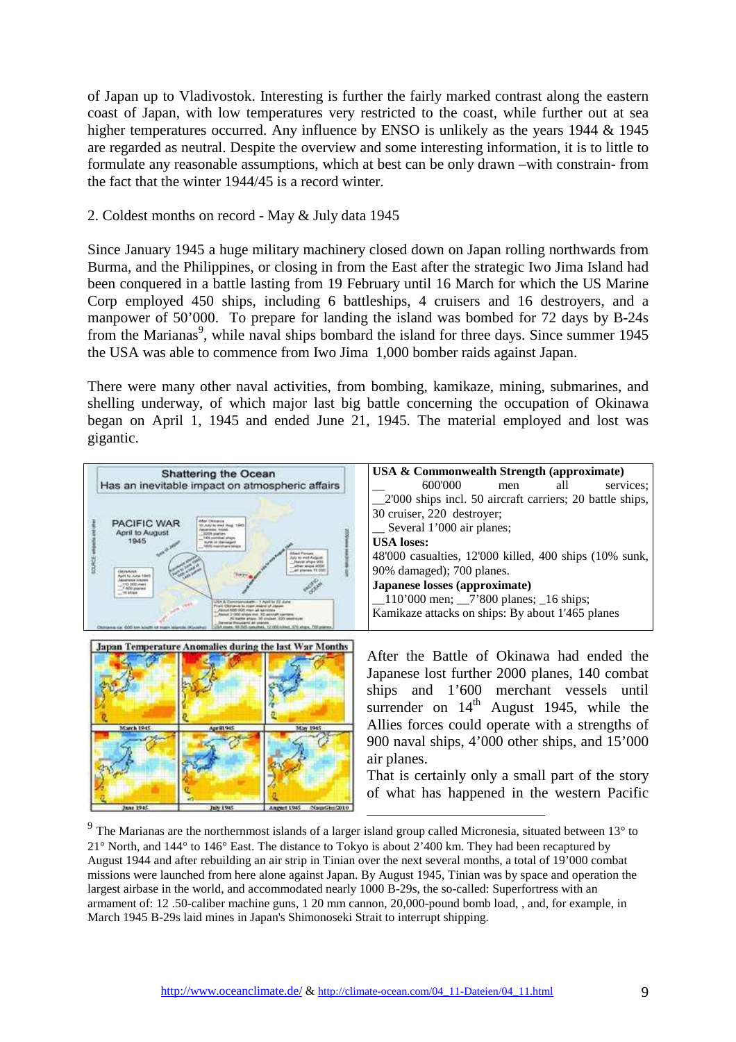of Japan up to Vladivostok. Interesting is further the fairly marked contrast along the eastern coast of Japan, with low temperatures very restricted to the coast, while further out at sea higher temperatures occurred. Any influence by ENSO is unlikely as the years 1944 & 1945 are regarded as neutral. Despite the overview and some interesting information, it is to little to formulate any reasonable assumptions, which at best can be only drawn –with constrain- from the fact that the winter 1944/45 is a record winter.

## 2. Coldest months on record - May & July data 1945

Since January 1945 a huge military machinery closed down on Japan rolling northwards from Burma, and the Philippines, or closing in from the East after the strategic Iwo Jima Island had been conquered in a battle lasting from 19 February until 16 March for which the US Marine Corp employed 450 ships, including 6 battleships, 4 cruisers and 16 destroyers, and a manpower of 50'000. To prepare for landing the island was bombed for 72 days by B-24s from the Marianas<sup>9</sup>, while naval ships bombard the island for three days. Since summer 1945 the USA was able to commence from Iwo Jima 1,000 bomber raids against Japan.

There were many other naval activities, from bombing, kamikaze, mining, submarines, and shelling underway, of which major last big battle concerning the occupation of Okinawa began on April 1, 1945 and ended June 21, 1945. The material employed and lost was gigantic.



 $9$  The Marianas are the northernmost islands of a larger island group called Micronesia, situated between 13 $^{\circ}$  to 21° North, and 144° to 146° East. The distance to Tokyo is about 2'400 km. They had been recaptured by August 1944 and after rebuilding an air strip in Tinian over the next several months, a total of 19'000 combat missions were launched from here alone against Japan. By August 1945, Tinian was by space and operation the largest airbase in the world, and accommodated nearly 1000 B-29s, the so-called: Superfortress with an armament of: 12 .50-caliber machine guns, 1 20 mm cannon, 20,000-pound bomb load, , and, for example, in March 1945 B-29s laid mines in Japan's Shimonoseki Strait to interrupt shipping.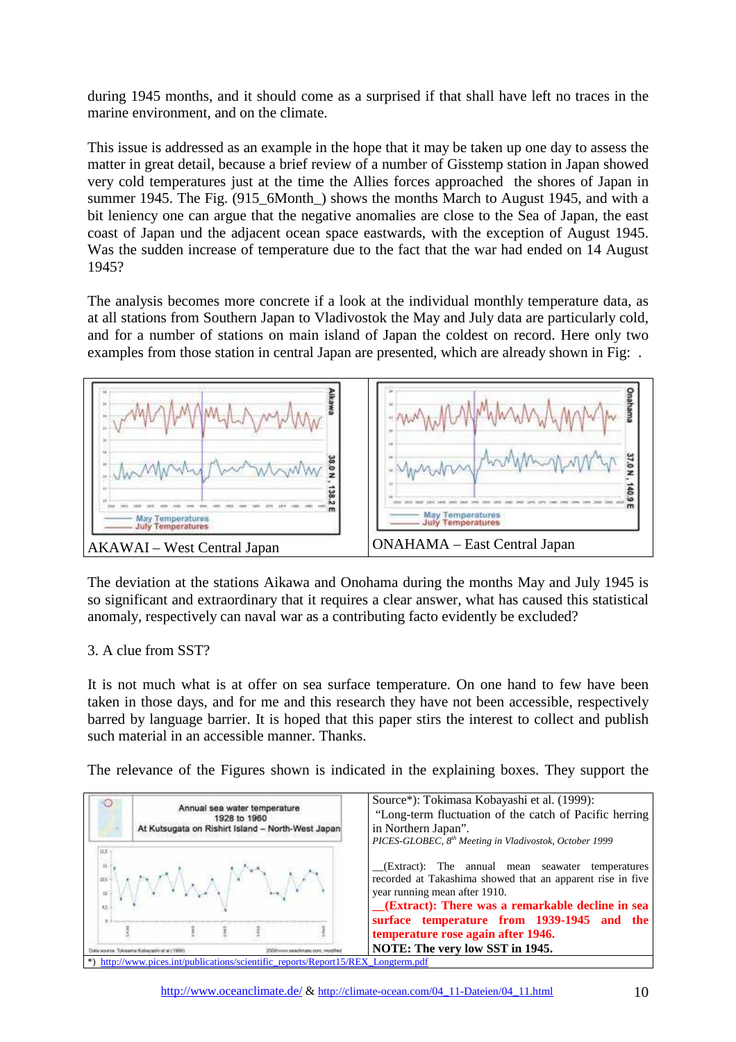during 1945 months, and it should come as a surprised if that shall have left no traces in the marine environment, and on the climate.

This issue is addressed as an example in the hope that it may be taken up one day to assess the matter in great detail, because a brief review of a number of Gisstemp station in Japan showed very cold temperatures just at the time the Allies forces approached the shores of Japan in summer 1945. The Fig. (915\_6Month\_) shows the months March to August 1945, and with a bit leniency one can argue that the negative anomalies are close to the Sea of Japan, the east coast of Japan und the adjacent ocean space eastwards, with the exception of August 1945. Was the sudden increase of temperature due to the fact that the war had ended on 14 August 1945?

The analysis becomes more concrete if a look at the individual monthly temperature data, as at all stations from Southern Japan to Vladivostok the May and July data are particularly cold, and for a number of stations on main island of Japan the coldest on record. Here only two examples from those station in central Japan are presented, which are already shown in Fig: .



The deviation at the stations Aikawa and Onohama during the months May and July 1945 is so significant and extraordinary that it requires a clear answer, what has caused this statistical anomaly, respectively can naval war as a contributing facto evidently be excluded?

### 3. A clue from SST?

It is not much what is at offer on sea surface temperature. On one hand to few have been taken in those days, and for me and this research they have not been accessible, respectively barred by language barrier. It is hoped that this paper stirs the interest to collect and publish such material in an accessible manner. Thanks.

The relevance of the Figures shown is indicated in the explaining boxes. They support the

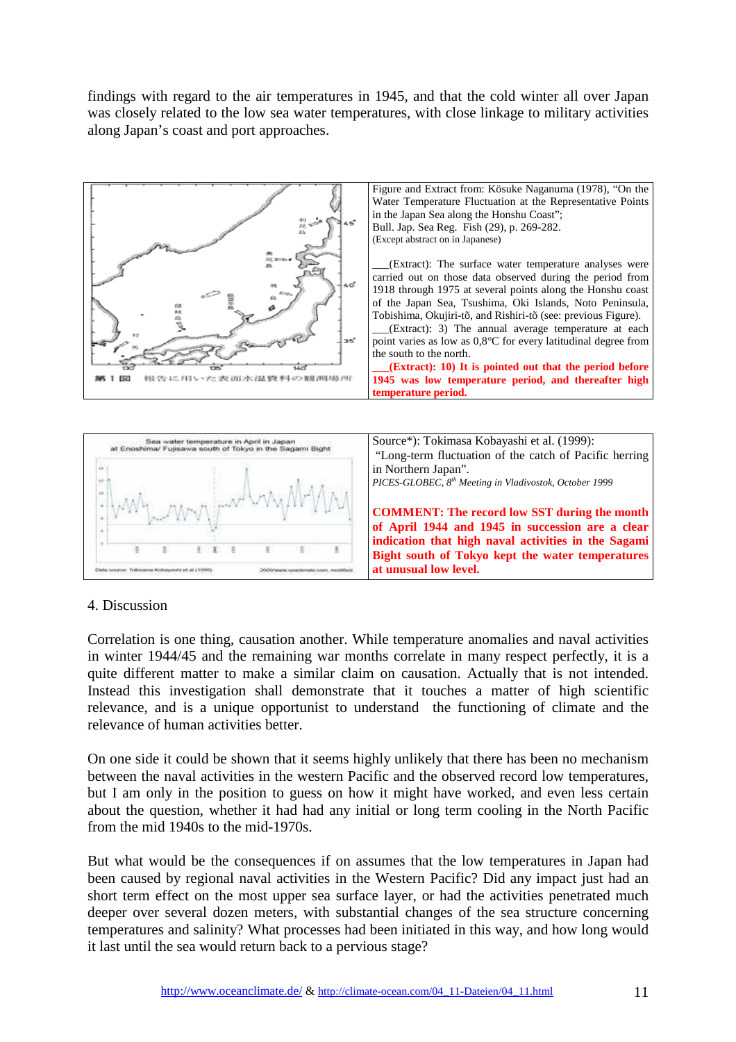findings with regard to the air temperatures in 1945, and that the cold winter all over Japan was closely related to the low sea water temperatures, with close linkage to military activities along Japan's coast and port approaches.





### 4. Discussion

Correlation is one thing, causation another. While temperature anomalies and naval activities in winter 1944/45 and the remaining war months correlate in many respect perfectly, it is a quite different matter to make a similar claim on causation. Actually that is not intended. Instead this investigation shall demonstrate that it touches a matter of high scientific relevance, and is a unique opportunist to understand the functioning of climate and the relevance of human activities better.

On one side it could be shown that it seems highly unlikely that there has been no mechanism between the naval activities in the western Pacific and the observed record low temperatures, but I am only in the position to guess on how it might have worked, and even less certain about the question, whether it had had any initial or long term cooling in the North Pacific from the mid 1940s to the mid-1970s.

But what would be the consequences if on assumes that the low temperatures in Japan had been caused by regional naval activities in the Western Pacific? Did any impact just had an short term effect on the most upper sea surface layer, or had the activities penetrated much deeper over several dozen meters, with substantial changes of the sea structure concerning temperatures and salinity? What processes had been initiated in this way, and how long would it last until the sea would return back to a pervious stage?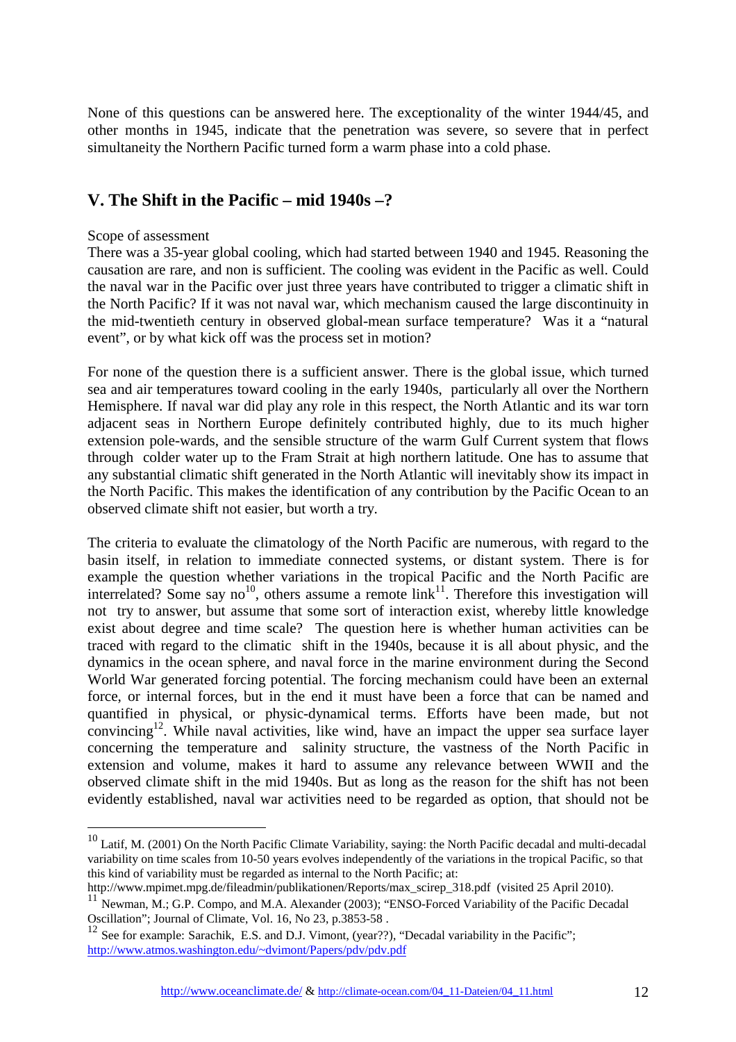None of this questions can be answered here. The exceptionality of the winter 1944/45, and other months in 1945, indicate that the penetration was severe, so severe that in perfect simultaneity the Northern Pacific turned form a warm phase into a cold phase.

## **V. The Shift in the Pacific – mid 1940s –?**

#### Scope of assessment

 $\overline{a}$ 

There was a 35-year global cooling, which had started between 1940 and 1945. Reasoning the causation are rare, and non is sufficient. The cooling was evident in the Pacific as well. Could the naval war in the Pacific over just three years have contributed to trigger a climatic shift in the North Pacific? If it was not naval war, which mechanism caused the large discontinuity in the mid-twentieth century in observed global-mean surface temperature? Was it a "natural event", or by what kick off was the process set in motion?

For none of the question there is a sufficient answer. There is the global issue, which turned sea and air temperatures toward cooling in the early 1940s, particularly all over the Northern Hemisphere. If naval war did play any role in this respect, the North Atlantic and its war torn adjacent seas in Northern Europe definitely contributed highly, due to its much higher extension pole-wards, and the sensible structure of the warm Gulf Current system that flows through colder water up to the Fram Strait at high northern latitude. One has to assume that any substantial climatic shift generated in the North Atlantic will inevitably show its impact in the North Pacific. This makes the identification of any contribution by the Pacific Ocean to an observed climate shift not easier, but worth a try.

The criteria to evaluate the climatology of the North Pacific are numerous, with regard to the basin itself, in relation to immediate connected systems, or distant system. There is for example the question whether variations in the tropical Pacific and the North Pacific are interrelated? Some say no<sup>10</sup>, others assume a remote  $\lim_{n \to \infty} \lim_{n \to \infty} \lim_{n \to \infty} \lim_{n \to \infty} \lim_{n \to \infty} \lim_{n \to \infty} \lim_{n \to \infty} \lim_{n \to \infty} \lim_{n \to \infty} \lim_{n \to \infty} \lim_{n \to \infty} \lim_{n \to \infty} \lim_{n \to \infty} \lim_{n \to \infty} \lim_{n \to \infty} \lim_{n \to \infty} \lim_{n \to$ not try to answer, but assume that some sort of interaction exist, whereby little knowledge exist about degree and time scale? The question here is whether human activities can be traced with regard to the climatic shift in the 1940s, because it is all about physic, and the dynamics in the ocean sphere, and naval force in the marine environment during the Second World War generated forcing potential. The forcing mechanism could have been an external force, or internal forces, but in the end it must have been a force that can be named and quantified in physical, or physic-dynamical terms. Efforts have been made, but not convincing<sup>12</sup>. While naval activities, like wind, have an impact the upper sea surface layer concerning the temperature and salinity structure, the vastness of the North Pacific in extension and volume, makes it hard to assume any relevance between WWII and the observed climate shift in the mid 1940s. But as long as the reason for the shift has not been evidently established, naval war activities need to be regarded as option, that should not be

http://www.mpimet.mpg.de/fileadmin/publikationen/Reports/max\_scirep\_318.pdf (visited 25 April 2010).

 $10$  Latif, M. (2001) On the North Pacific Climate Variability, saying: the North Pacific decadal and multi-decadal variability on time scales from 10-50 years evolves independently of the variations in the tropical Pacific, so that this kind of variability must be regarded as internal to the North Pacific; at:

<sup>&</sup>lt;sup>11</sup> Newman, M.; G.P. Compo, and M.A. Alexander (2003); "ENSO-Forced Variability of the Pacific Decadal Oscillation"; Journal of Climate, Vol. 16, No 23, p.3853-58 .

See for example: Sarachik, E.S. and D.J. Vimont, (year??), "Decadal variability in the Pacific"; http://www.atmos.washington.edu/~dvimont/Papers/pdv/pdv.pdf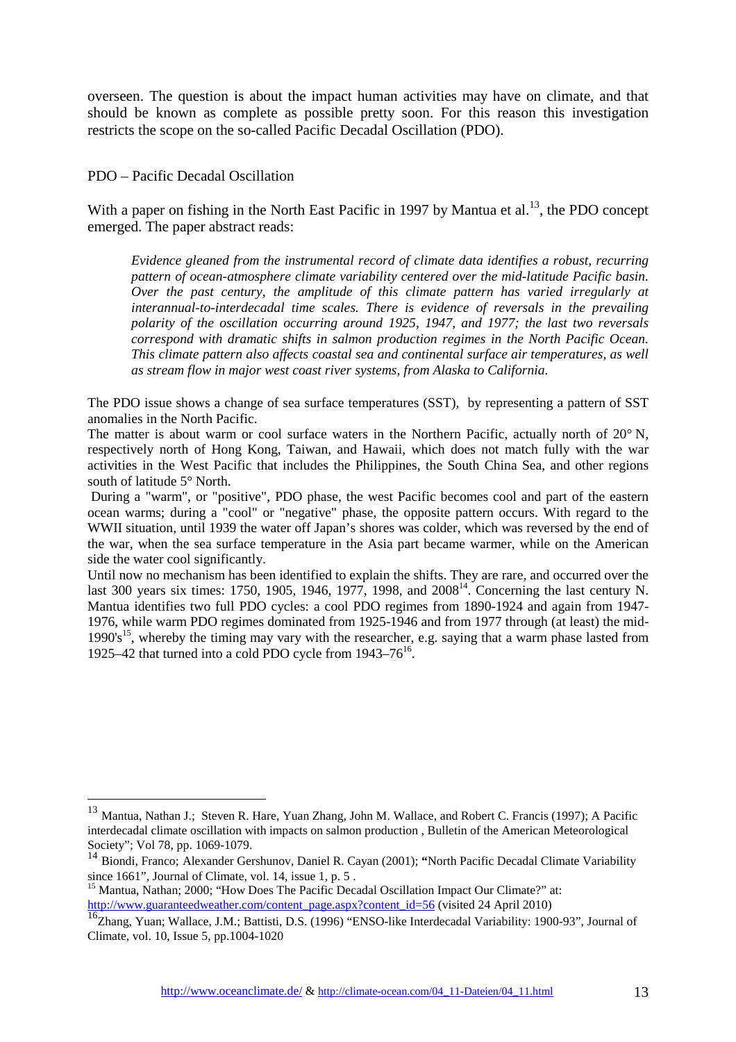overseen. The question is about the impact human activities may have on climate, and that should be known as complete as possible pretty soon. For this reason this investigation restricts the scope on the so-called Pacific Decadal Oscillation (PDO).

PDO – Pacific Decadal Oscillation

 $\overline{a}$ 

With a paper on fishing in the North East Pacific in 1997 by Mantua et al.<sup>13</sup>, the PDO concept emerged. The paper abstract reads:

*Evidence gleaned from the instrumental record of climate data identifies a robust, recurring pattern of ocean-atmosphere climate variability centered over the mid-latitude Pacific basin. Over the past century, the amplitude of this climate pattern has varied irregularly at interannual-to-interdecadal time scales. There is evidence of reversals in the prevailing polarity of the oscillation occurring around 1925, 1947, and 1977; the last two reversals correspond with dramatic shifts in salmon production regimes in the North Pacific Ocean. This climate pattern also affects coastal sea and continental surface air temperatures, as well as stream flow in major west coast river systems, from Alaska to California.*

The PDO issue shows a change of sea surface temperatures (SST), by representing a pattern of SST anomalies in the North Pacific.

The matter is about warm or cool surface waters in the Northern Pacific, actually north of 20° N, respectively north of Hong Kong, Taiwan, and Hawaii, which does not match fully with the war activities in the West Pacific that includes the Philippines, the South China Sea, and other regions south of latitude 5° North.

 During a "warm", or "positive", PDO phase, the west Pacific becomes cool and part of the eastern ocean warms; during a "cool" or "negative" phase, the opposite pattern occurs. With regard to the WWII situation, until 1939 the water off Japan's shores was colder, which was reversed by the end of the war, when the sea surface temperature in the Asia part became warmer, while on the American side the water cool significantly.

Until now no mechanism has been identified to explain the shifts. They are rare, and occurred over the last 300 years six times: 1750, 1905, 1946, 1977, 1998, and  $2008^{14}$ . Concerning the last century N. Mantua identifies two full PDO cycles: a cool PDO regimes from 1890-1924 and again from 1947- 1976, while warm PDO regimes dominated from 1925-1946 and from 1977 through (at least) the mid-1990's<sup>15</sup>, whereby the timing may vary with the researcher, e.g. saying that a warm phase lasted from 1925–42 that turned into a cold PDO cycle from  $1943-76^{16}$ .

<sup>&</sup>lt;sup>13</sup> Mantua, Nathan J.; Steven R. Hare, Yuan Zhang, John M. Wallace, and Robert C. Francis (1997); A Pacific interdecadal climate oscillation with impacts on salmon production , Bulletin of the American Meteorological Society"; Vol 78, pp. 1069-1079.

<sup>14</sup> Biondi, Franco; Alexander Gershunov, Daniel R. Cayan (2001); **"**North Pacific Decadal Climate Variability since 1661", Journal of Climate, vol. 14, issue 1, p. 5.

<sup>&</sup>lt;sup>15</sup> Mantua, Nathan; 2000; "How Does The Pacific Decadal Oscillation Impact Our Climate?" at: http://www.guaranteedweather.com/content\_page.aspx?content\_id=56 (visited 24 April 2010)

<sup>&</sup>lt;sup>16</sup>Zhang, Yuan; Wallace, J.M.; Battisti, D.S. (1996) "ENSO-like Interdecadal Variability: 1900-93", Journal of Climate, vol. 10, Issue 5, pp.1004-1020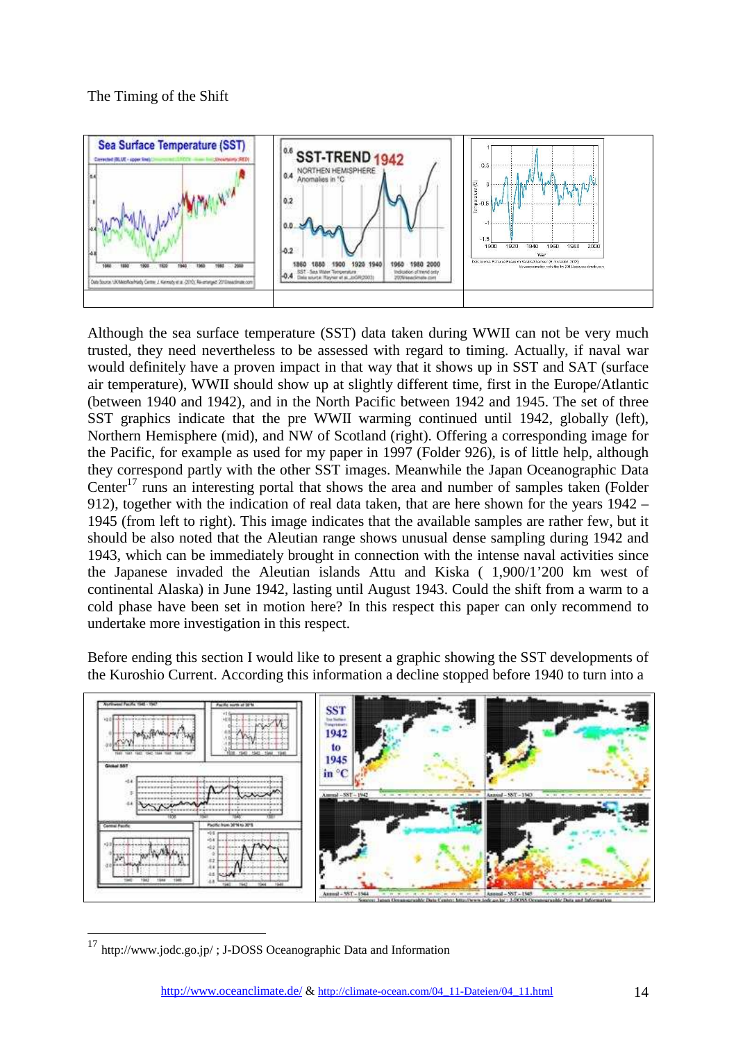

Although the sea surface temperature (SST) data taken during WWII can not be very much trusted, they need nevertheless to be assessed with regard to timing. Actually, if naval war would definitely have a proven impact in that way that it shows up in SST and SAT (surface air temperature), WWII should show up at slightly different time, first in the Europe/Atlantic (between 1940 and 1942), and in the North Pacific between 1942 and 1945. The set of three SST graphics indicate that the pre WWII warming continued until 1942, globally (left), Northern Hemisphere (mid), and NW of Scotland (right). Offering a corresponding image for the Pacific, for example as used for my paper in 1997 (Folder 926), is of little help, although they correspond partly with the other SST images. Meanwhile the Japan Oceanographic Data Center<sup>17</sup> runs an interesting portal that shows the area and number of samples taken (Folder 912), together with the indication of real data taken, that are here shown for the years 1942 – 1945 (from left to right). This image indicates that the available samples are rather few, but it should be also noted that the Aleutian range shows unusual dense sampling during 1942 and 1943, which can be immediately brought in connection with the intense naval activities since the Japanese invaded the Aleutian islands Attu and Kiska ( 1,900/1'200 km west of continental Alaska) in June 1942, lasting until August 1943. Could the shift from a warm to a cold phase have been set in motion here? In this respect this paper can only recommend to undertake more investigation in this respect.

Before ending this section I would like to present a graphic showing the SST developments of the Kuroshio Current. According this information a decline stopped before 1940 to turn into a



<sup>&</sup>lt;sup>17</sup> http://www.jodc.go.jp/; J-DOSS Oceanographic Data and Information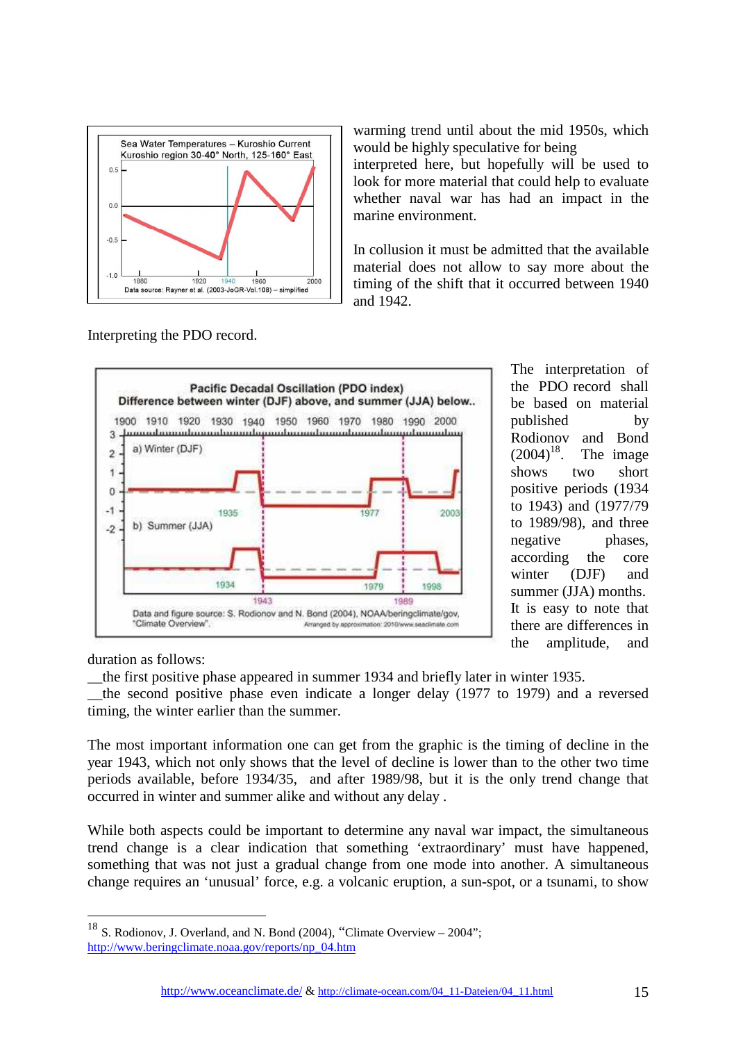

Interpreting the PDO record.

warming trend until about the mid 1950s, which would be highly speculative for being

interpreted here, but hopefully will be used to look for more material that could help to evaluate whether naval war has had an impact in the marine environment.

In collusion it must be admitted that the available material does not allow to say more about the timing of the shift that it occurred between 1940 and 1942.



The interpretation of the PDO record shall be based on material published by Rodionov and Bond<br> $(2004)^{18}$ . The image The image shows two short positive periods (1934 to 1943) and (1977/79 to 1989/98), and three negative phases, according the core winter (DJF) and summer (JJA) months. It is easy to note that there are differences in the amplitude, and

duration as follows:

 $\overline{a}$ 

\_\_the first positive phase appeared in summer 1934 and briefly later in winter 1935. \_\_the second positive phase even indicate a longer delay (1977 to 1979) and a reversed timing, the winter earlier than the summer.

The most important information one can get from the graphic is the timing of decline in the year 1943, which not only shows that the level of decline is lower than to the other two time periods available, before 1934/35, and after 1989/98, but it is the only trend change that occurred in winter and summer alike and without any delay .

While both aspects could be important to determine any naval war impact, the simultaneous trend change is a clear indication that something 'extraordinary' must have happened, something that was not just a gradual change from one mode into another. A simultaneous change requires an 'unusual' force, e.g. a volcanic eruption, a sun-spot, or a tsunami, to show

 $18$  S. Rodionov, J. Overland, and N. Bond (2004), "Climate Overview – 2004"; http://www.beringclimate.noaa.gov/reports/np\_04.htm